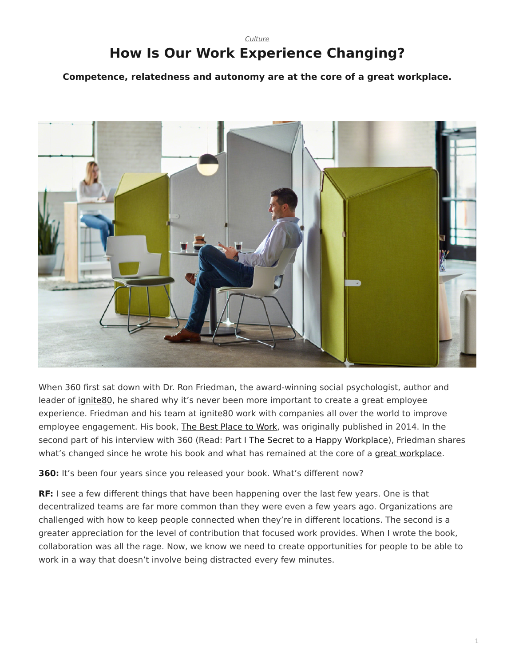## <span id="page-0-0"></span>*[Culture](https://www.steelcase.com/research/topics/culture/)* **How Is Our Work Experience Changing?**

**Competence, relatedness and autonomy are at the core of a great workplace.**



When 360 first sat down with Dr. Ron Friedman, the award-winning social psychologist, author and leader of [ignite80](https://www.ignite80.com/), he shared why it's never been more important to create a great employee experience. Friedman and his team at ignite80 work with companies all over the world to improve employee engagement. His book, [The Best Place to Work,](https://www.amazon.com/Best-Place-Work-Extraordinary-Workplace/dp/0399165606) was originally published in 2014. In the second part of his interview with 360 (Read: Part I [The Secret to a Happy Workplace\)](https://www.steelcase.com/research/articles/secret-happy-workplace-ron-friedman-qa/), Friedman shares what's changed since he wrote his book and what has remained at the core of a [great workplace.](https://www.steelcase.com/research/articles/topics/wellbeing/building-wellbeing-into-the-workplace/)

**360:** It's been four years since you released your book. What's different now?

**RF:** I see a few different things that have been happening over the last few years. One is that decentralized teams are far more common than they were even a few years ago. Organizations are challenged with how to keep people connected when they're in different locations. The second is a greater appreciation for the level of contribution that focused work provides. When I wrote the book, collaboration was all the rage. Now, we know we need to create opportunities for people to be able to work in a way that doesn't involve being distracted every few minutes.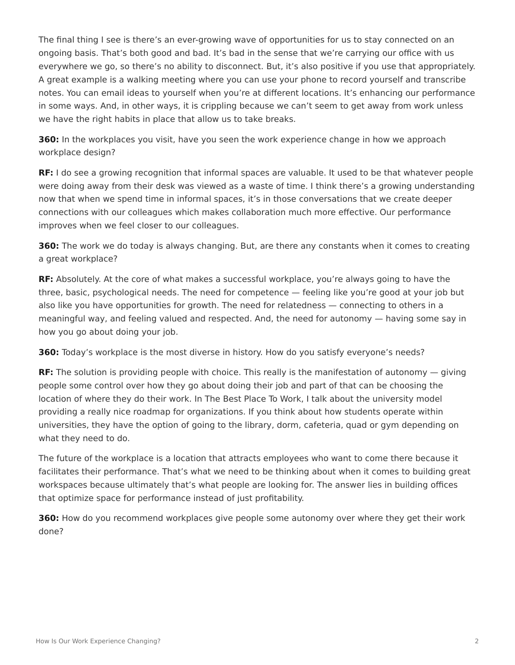The final thing I see is there's an ever-growing wave of opportunities for us to stay connected on an ongoing basis. That's both good and bad. It's bad in the sense that we're carrying our office with us everywhere we go, so there's no ability to disconnect. But, it's also positive if you use that appropriately. A great example is a walking meeting where you can use your phone to record yourself and transcribe notes. You can email ideas to yourself when you're at different locations. It's enhancing our performance in some ways. And, in other ways, it is crippling because we can't seem to get away from work unless we have the right habits in place that allow us to take breaks.

**360:** In the workplaces you visit, have you seen the work experience change in how we approach workplace design?

**RF:** I do see a growing recognition that informal spaces are valuable. It used to be that whatever people were doing away from their desk was viewed as a waste of time. I think there's a growing understanding now that when we spend time in informal spaces, it's in those conversations that we create deeper connections with our colleagues which makes collaboration much more effective. Our performance improves when we feel closer to our colleagues.

**360:** The work we do today is always changing. But, are there any constants when it comes to creating a great workplace?

**RF:** Absolutely. At the core of what makes a successful workplace, you're always going to have the three, basic, psychological needs. The need for competence — feeling like you're good at your job but also like you have opportunities for growth. The need for relatedness — connecting to others in a meaningful way, and feeling valued and respected. And, the need for autonomy — having some say in how you go about doing your job.

**360:** Today's workplace is the most diverse in history. How do you satisfy everyone's needs?

**RF:** The solution is providing people with choice. This really is the manifestation of autonomy — giving people some control over how they go about doing their job and part of that can be choosing the location of where they do their work. In The Best Place To Work, I talk about the university model providing a really nice roadmap for organizations. If you think about how students operate within universities, they have the option of going to the library, dorm, cafeteria, quad or gym depending on what they need to do.

The future of the workplace is a location that attracts employees who want to come there because it facilitates their performance. That's what we need to be thinking about when it comes to building great workspaces because ultimately that's what people are looking for. The answer lies in building offices that optimize space for performance instead of just profitability.

**360:** How do you recommend workplaces give people some autonomy over where they get their work done?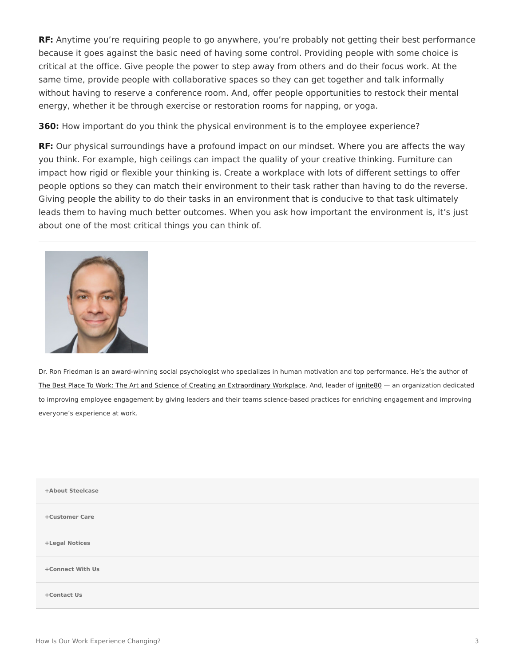**RF:** Anytime you're requiring people to go anywhere, you're probably not getting their best performance because it goes against the basic need of having some control. Providing people with some choice is critical at the office. Give people the power to step away from others and do their focus work. At the same time, provide people with collaborative spaces so they can get together and talk informally without having to reserve a conference room. And, offer people opportunities to restock their mental energy, whether it be through exercise or restoration rooms for napping, or yoga.

**360:** How important do you think the physical environment is to the employee experience?

**RF:** Our physical surroundings have a profound impact on our mindset. Where you are affects the way you think. For example, high ceilings can impact the quality of your creative thinking. Furniture can impact how rigid or flexible your thinking is. Create a workplace with lots of different settings to offer people options so they can match their environment to their task rather than having to do the reverse. Giving people the ability to do their tasks in an environment that is conducive to that task ultimately leads them to having much better outcomes. When you ask how important the environment is, it's just about one of the most critical things you can think of.



Dr. Ron Friedman is an award-winning social psychologist who specializes in human motivation and top performance. He's the author of [The Best Place To Work: The Art and Science of Creating an Extraordinary Workplace](https://www.amazon.com/Best-Place-Work-Extraordinary-Workplace/dp/0399165606). And, leader of [ignite80](https://www.ignite80.com/) — an organization dedicated to improving employee engagement by giving leaders and their teams science-based practices for enriching engagement and improving everyone's experience at work.

| +About Steelcase |  |
|------------------|--|
| +Customer Care   |  |
| +Legal Notices   |  |
| +Connect With Us |  |
| +Contact Us      |  |